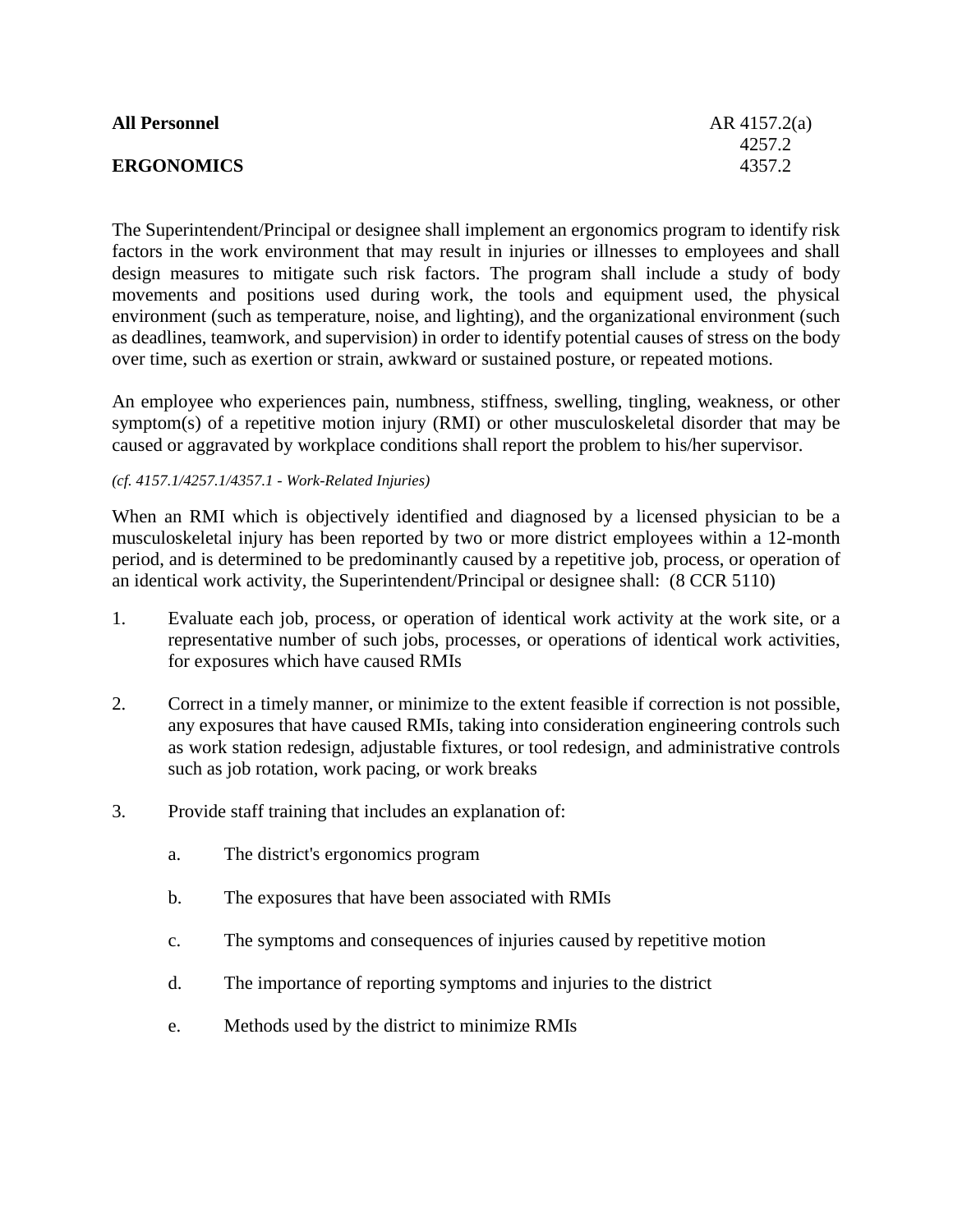| <b>All Personnel</b> | AR $4157.2(a)$ |
|----------------------|----------------|
|                      | 4257.2         |
| <b>ERGONOMICS</b>    | 4357.2         |

The Superintendent/Principal or designee shall implement an ergonomics program to identify risk factors in the work environment that may result in injuries or illnesses to employees and shall design measures to mitigate such risk factors. The program shall include a study of body movements and positions used during work, the tools and equipment used, the physical environment (such as temperature, noise, and lighting), and the organizational environment (such as deadlines, teamwork, and supervision) in order to identify potential causes of stress on the body over time, such as exertion or strain, awkward or sustained posture, or repeated motions.

An employee who experiences pain, numbness, stiffness, swelling, tingling, weakness, or other symptom(s) of a repetitive motion injury (RMI) or other musculoskeletal disorder that may be caused or aggravated by workplace conditions shall report the problem to his/her supervisor.

## *(cf. 4157.1/4257.1/4357.1 - Work-Related Injuries)*

When an RMI which is objectively identified and diagnosed by a licensed physician to be a musculoskeletal injury has been reported by two or more district employees within a 12-month period, and is determined to be predominantly caused by a repetitive job, process, or operation of an identical work activity, the Superintendent/Principal or designee shall: (8 CCR 5110)

- 1. Evaluate each job, process, or operation of identical work activity at the work site, or a representative number of such jobs, processes, or operations of identical work activities, for exposures which have caused RMIs
- 2. Correct in a timely manner, or minimize to the extent feasible if correction is not possible, any exposures that have caused RMIs, taking into consideration engineering controls such as work station redesign, adjustable fixtures, or tool redesign, and administrative controls such as job rotation, work pacing, or work breaks
- 3. Provide staff training that includes an explanation of:
	- a. The district's ergonomics program
	- b. The exposures that have been associated with RMIs
	- c. The symptoms and consequences of injuries caused by repetitive motion
	- d. The importance of reporting symptoms and injuries to the district
	- e. Methods used by the district to minimize RMIs